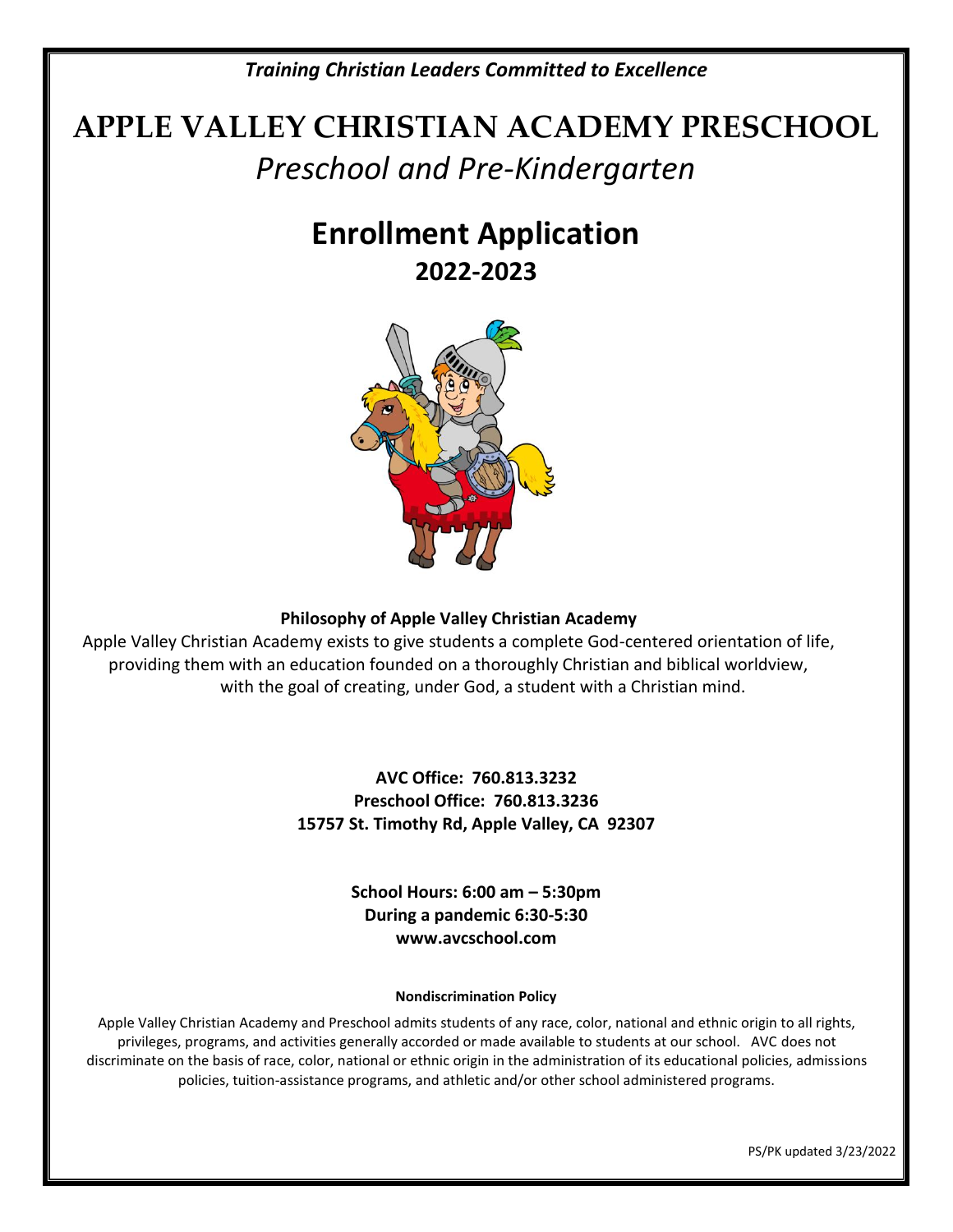*Training Christian Leaders Committed to Excellence*

# **APPLE VALLEY CHRISTIAN ACADEMY PRESCHOOL** *Preschool and Pre-Kindergarten*

# **Enrollment Application 2022-2023**



### **Philosophy of Apple Valley Christian Academy**

Apple Valley Christian Academy exists to give students a complete God-centered orientation of life, providing them with an education founded on a thoroughly Christian and biblical worldview, with the goal of creating, under God, a student with a Christian mind.

> **AVC Office: 760.813.3232 Preschool Office: 760.813.3236 15757 St. Timothy Rd, Apple Valley, CA 92307**

> > **School Hours: 6:00 am – 5:30pm During a pandemic 6:30-5:30 www.avcschool.com**

#### **Nondiscrimination Policy**

Apple Valley Christian Academy and Preschool admits students of any race, color, national and ethnic origin to all rights, privileges, programs, and activities generally accorded or made available to students at our school. AVC does not discriminate on the basis of race, color, national or ethnic origin in the administration of its educational policies, admissions policies, tuition-assistance programs, and athletic and/or other school administered programs.

PS/PK updated 3/23/2022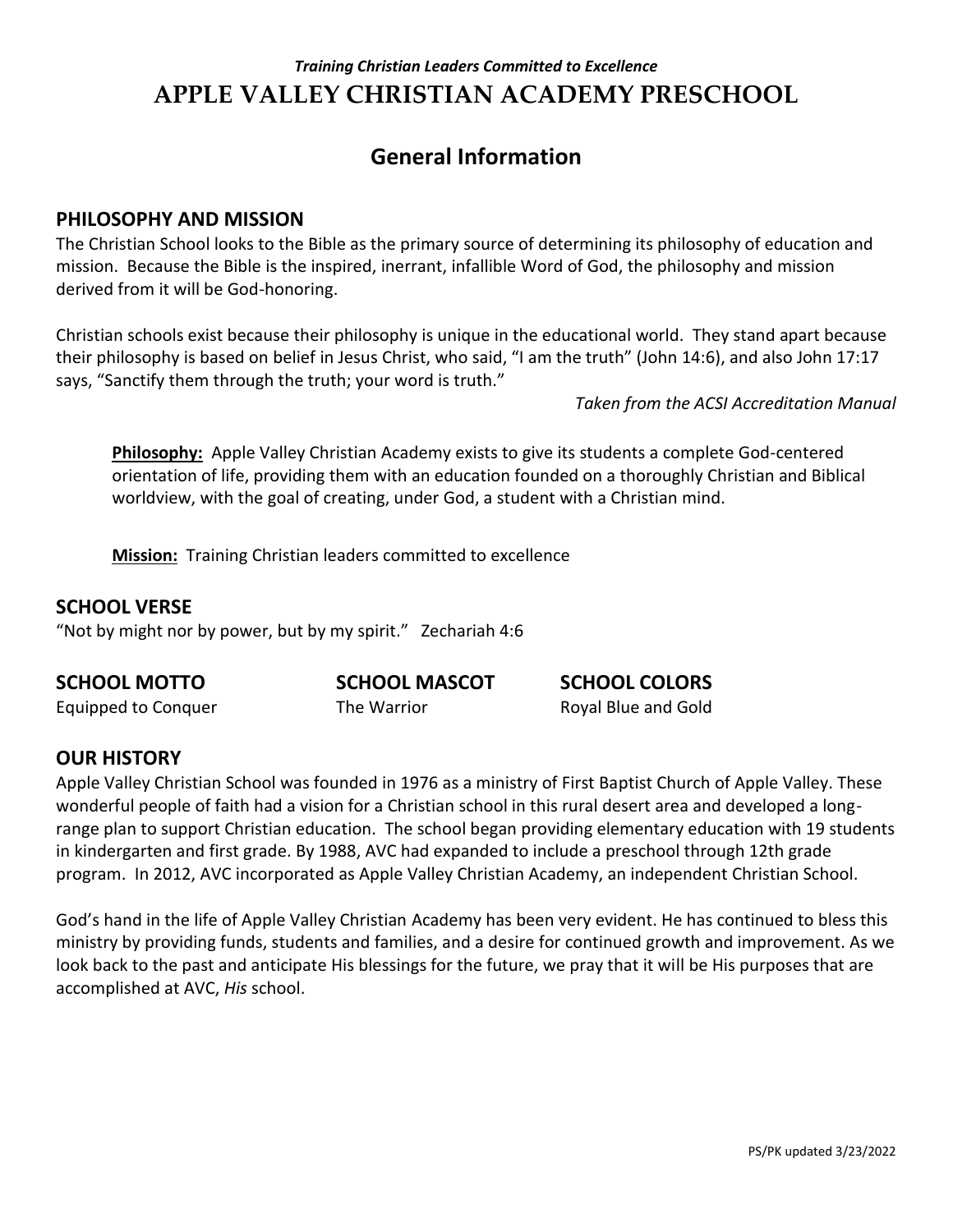# **General Information**

### **PHILOSOPHY AND MISSION**

The Christian School looks to the Bible as the primary source of determining its philosophy of education and mission. Because the Bible is the inspired, inerrant, infallible Word of God, the philosophy and mission derived from it will be God-honoring.

Christian schools exist because their philosophy is unique in the educational world. They stand apart because their philosophy is based on belief in Jesus Christ, who said, "I am the truth" (John 14:6), and also John 17:17 says, "Sanctify them through the truth; your word is truth."

 *Taken from the ACSI Accreditation Manual*

**Philosophy:** Apple Valley Christian Academy exists to give its students a complete God-centered orientation of life, providing them with an education founded on a thoroughly Christian and Biblical worldview, with the goal of creating, under God, a student with a Christian mind.

**Mission:** Training Christian leaders committed to excellence

### **SCHOOL VERSE**

"Not by might nor by power, but by my spirit." Zechariah 4:6

### **SCHOOL MOTTO SCHOOL MASCOT SCHOOL COLORS**

Equipped to Conquer The Warrior Royal Blue and Gold

# **OUR HISTORY**

Apple Valley Christian School was founded in 1976 as a ministry of First Baptist Church of Apple Valley. These wonderful people of faith had a vision for a Christian school in this rural desert area and developed a longrange plan to support Christian education. The school began providing elementary education with 19 students in kindergarten and first grade. By 1988, AVC had expanded to include a preschool through 12th grade program. In 2012, AVC incorporated as Apple Valley Christian Academy, an independent Christian School.

God's hand in the life of Apple Valley Christian Academy has been very evident. He has continued to bless this ministry by providing funds, students and families, and a desire for continued growth and improvement. As we look back to the past and anticipate His blessings for the future, we pray that it will be His purposes that are accomplished at AVC, *His* school.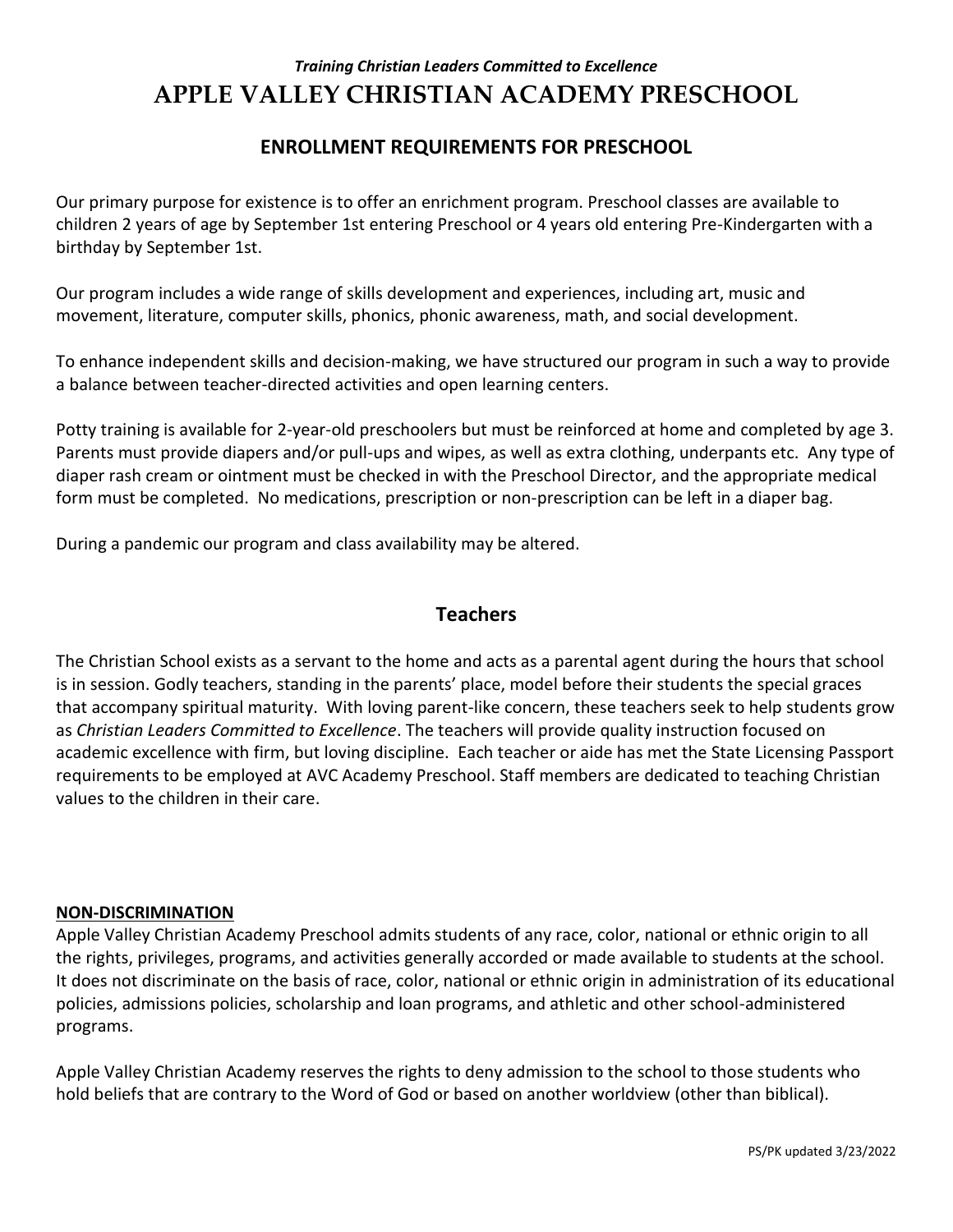### **ENROLLMENT REQUIREMENTS FOR PRESCHOOL**

Our primary purpose for existence is to offer an enrichment program. Preschool classes are available to children 2 years of age by September 1st entering Preschool or 4 years old entering Pre-Kindergarten with a birthday by September 1st.

Our program includes a wide range of skills development and experiences, including art, music and movement, literature, computer skills, phonics, phonic awareness, math, and social development.

To enhance independent skills and decision-making, we have structured our program in such a way to provide a balance between teacher-directed activities and open learning centers.

Potty training is available for 2-year-old preschoolers but must be reinforced at home and completed by age 3. Parents must provide diapers and/or pull-ups and wipes, as well as extra clothing, underpants etc. Any type of diaper rash cream or ointment must be checked in with the Preschool Director, and the appropriate medical form must be completed. No medications, prescription or non-prescription can be left in a diaper bag.

During a pandemic our program and class availability may be altered.

### **Teachers**

The Christian School exists as a servant to the home and acts as a parental agent during the hours that school is in session. Godly teachers, standing in the parents' place, model before their students the special graces that accompany spiritual maturity. With loving parent-like concern, these teachers seek to help students grow as *Christian Leaders Committed to Excellence*. The teachers will provide quality instruction focused on academic excellence with firm, but loving discipline. Each teacher or aide has met the State Licensing Passport requirements to be employed at AVC Academy Preschool. Staff members are dedicated to teaching Christian values to the children in their care.

#### **NON-DISCRIMINATION**

Apple Valley Christian Academy Preschool admits students of any race, color, national or ethnic origin to all the rights, privileges, programs, and activities generally accorded or made available to students at the school. It does not discriminate on the basis of race, color, national or ethnic origin in administration of its educational policies, admissions policies, scholarship and loan programs, and athletic and other school-administered programs.

Apple Valley Christian Academy reserves the rights to deny admission to the school to those students who hold beliefs that are contrary to the Word of God or based on another worldview (other than biblical).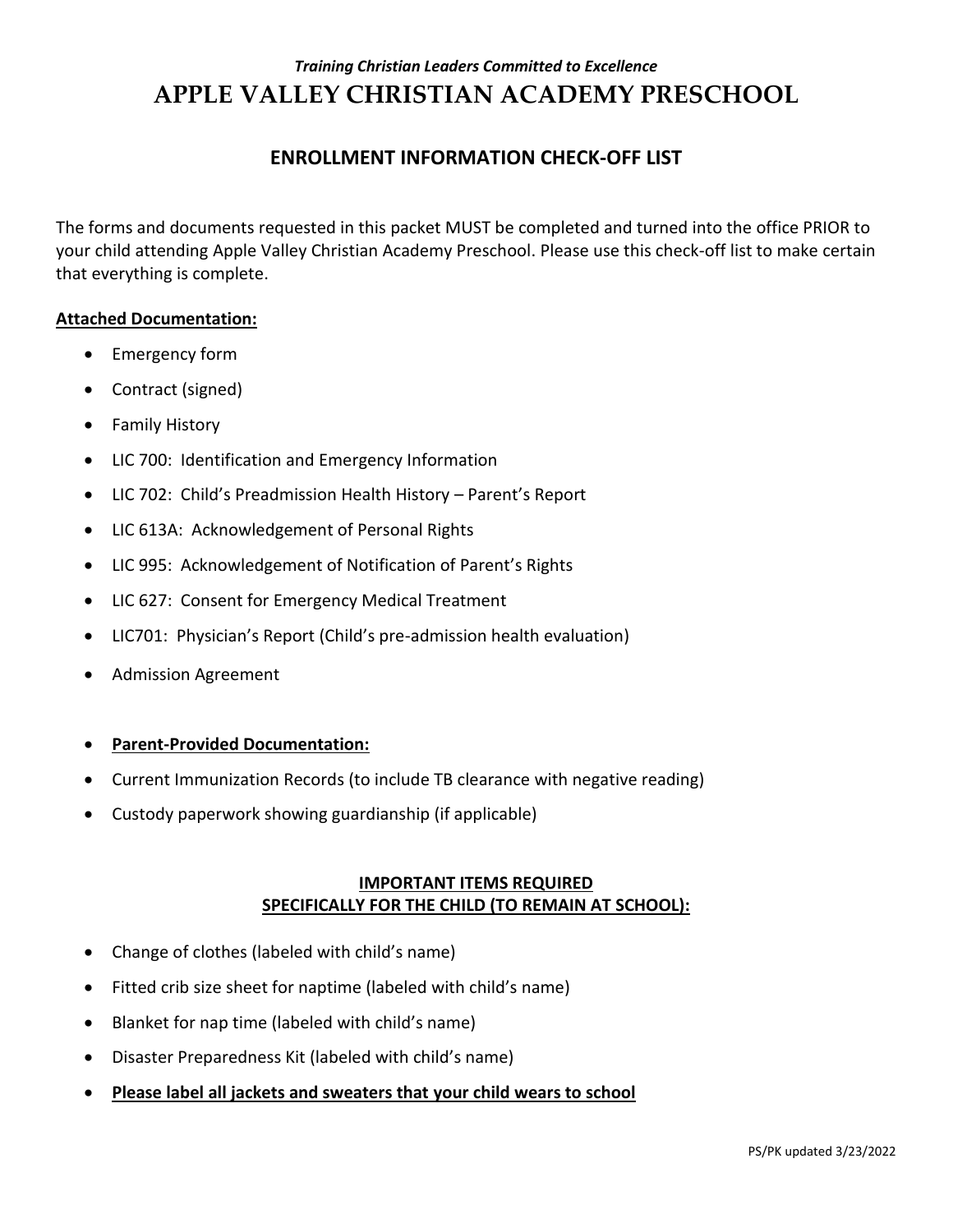### **ENROLLMENT INFORMATION CHECK-OFF LIST**

The forms and documents requested in this packet MUST be completed and turned into the office PRIOR to your child attending Apple Valley Christian Academy Preschool. Please use this check-off list to make certain that everything is complete.

#### **Attached Documentation:**

- Emergency form
- Contract (signed)
- Family History
- LIC 700: Identification and Emergency Information
- LIC 702: Child's Preadmission Health History Parent's Report
- LIC 613A: Acknowledgement of Personal Rights
- LIC 995: Acknowledgement of Notification of Parent's Rights
- LIC 627: Consent for Emergency Medical Treatment
- LIC701: Physician's Report (Child's pre-admission health evaluation)
- Admission Agreement

#### **Parent-Provided Documentation:**

- Current Immunization Records (to include TB clearance with negative reading)
- Custody paperwork showing guardianship (if applicable)

### **IMPORTANT ITEMS REQUIRED SPECIFICALLY FOR THE CHILD (TO REMAIN AT SCHOOL):**

- Change of clothes (labeled with child's name)
- Fitted crib size sheet for naptime (labeled with child's name)
- Blanket for nap time (labeled with child's name)
- Disaster Preparedness Kit (labeled with child's name)
- **Please label all jackets and sweaters that your child wears to school**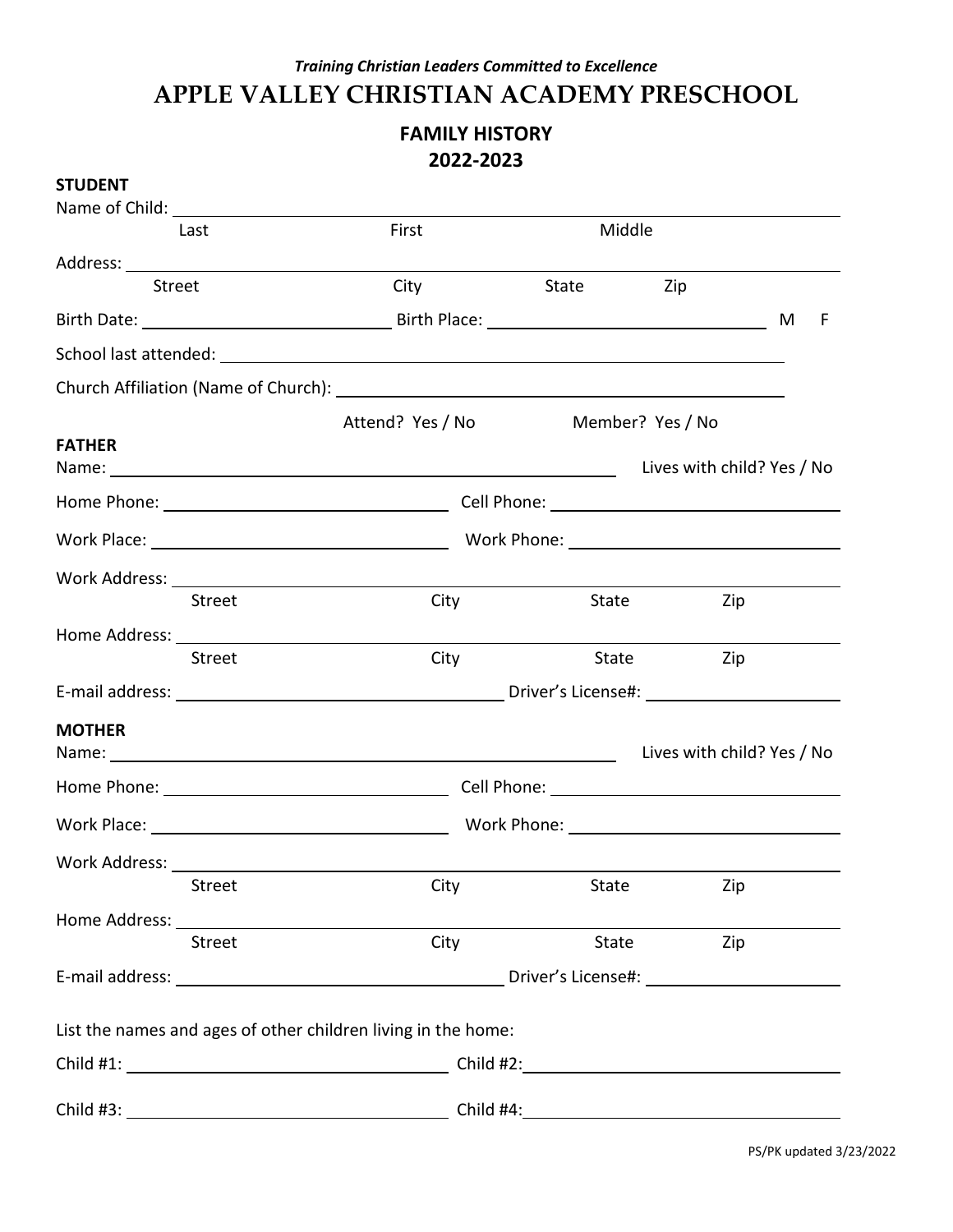### **FAMILY HISTORY 2022-2023**

| <b>STUDENT</b>                                                                                                 |                  |                                                                                                                                          |     |        |
|----------------------------------------------------------------------------------------------------------------|------------------|------------------------------------------------------------------------------------------------------------------------------------------|-----|--------|
|                                                                                                                |                  |                                                                                                                                          |     |        |
| Last                                                                                                           | First            |                                                                                                                                          |     |        |
|                                                                                                                |                  |                                                                                                                                          |     |        |
| Street                                                                                                         | City             | State                                                                                                                                    |     |        |
|                                                                                                                |                  |                                                                                                                                          |     | F<br>M |
|                                                                                                                |                  |                                                                                                                                          |     |        |
|                                                                                                                |                  |                                                                                                                                          |     |        |
|                                                                                                                | Attend? Yes / No |                                                                                                                                          |     |        |
| <b>FATHER</b>                                                                                                  |                  |                                                                                                                                          |     |        |
|                                                                                                                |                  |                                                                                                                                          |     |        |
|                                                                                                                |                  |                                                                                                                                          |     |        |
|                                                                                                                |                  |                                                                                                                                          |     |        |
|                                                                                                                |                  |                                                                                                                                          |     |        |
| <b>Street</b>                                                                                                  | City             |                                                                                                                                          | Zip |        |
|                                                                                                                |                  |                                                                                                                                          |     |        |
| <b>Street</b>                                                                                                  | City             | Middle<br>Zip<br>Member? Yes / No<br>State<br>State<br>Zip<br>Lives with child? Yes / No<br>City<br>State<br>Zip<br>City<br>State<br>Zip |     |        |
|                                                                                                                |                  |                                                                                                                                          |     |        |
| <b>MOTHER</b>                                                                                                  |                  |                                                                                                                                          |     |        |
|                                                                                                                |                  |                                                                                                                                          |     |        |
|                                                                                                                |                  |                                                                                                                                          |     |        |
|                                                                                                                |                  |                                                                                                                                          |     |        |
| <b>Work Address:</b>                                                                                           |                  |                                                                                                                                          |     |        |
| <b>Street</b>                                                                                                  |                  |                                                                                                                                          |     |        |
| Home Address: Universe Processes and Address and Address and Address and Address and Address and Address and A |                  |                                                                                                                                          |     |        |
| <b>Street</b>                                                                                                  |                  |                                                                                                                                          |     |        |
|                                                                                                                |                  |                                                                                                                                          |     |        |
| List the names and ages of other children living in the home:                                                  |                  |                                                                                                                                          |     |        |
|                                                                                                                |                  |                                                                                                                                          |     |        |
|                                                                                                                |                  |                                                                                                                                          |     |        |
|                                                                                                                |                  |                                                                                                                                          |     |        |

PS/PK updated 3/23/2022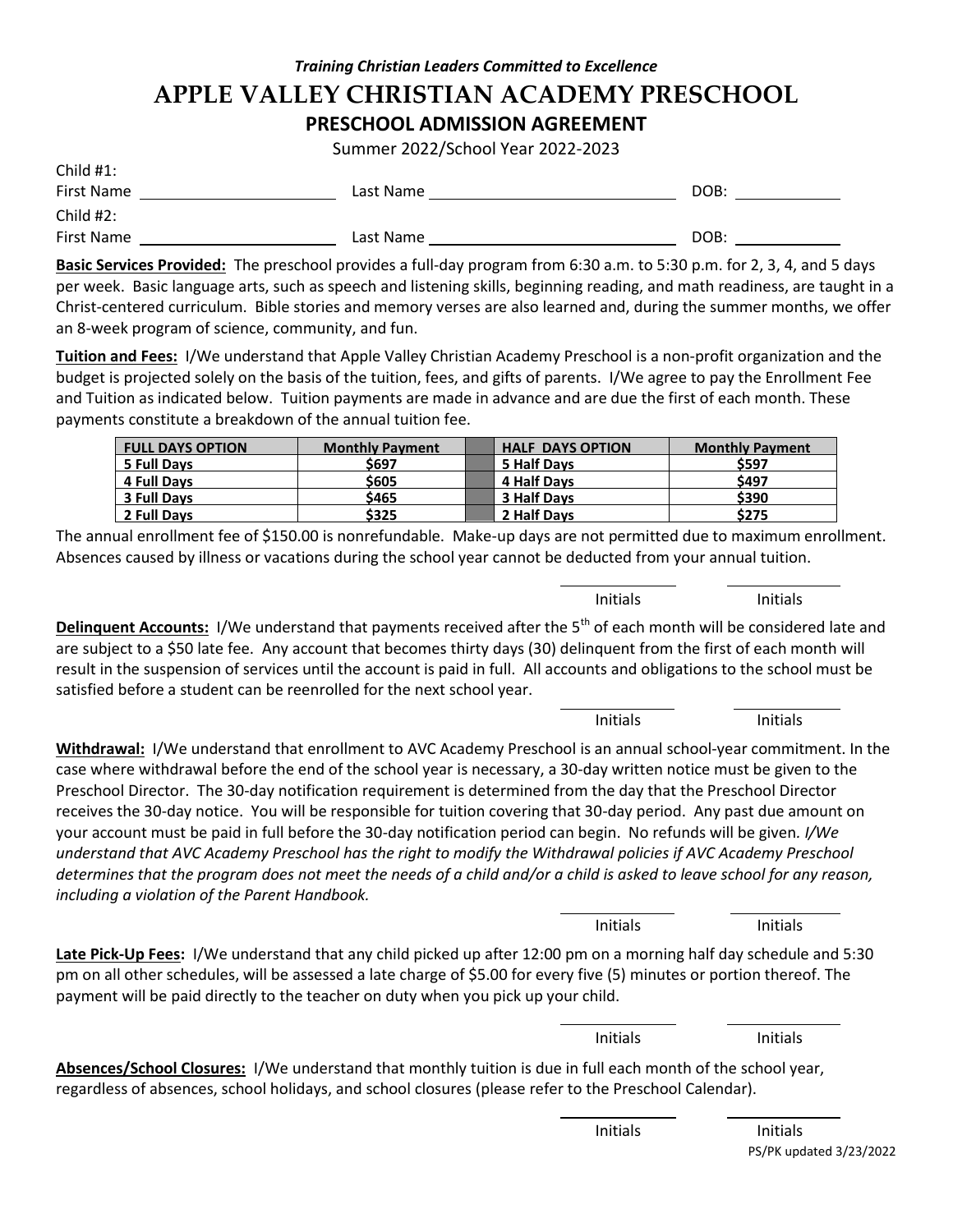### *Training Christian Leaders Committed to Excellence* **APPLE VALLEY CHRISTIAN ACADEMY PRESCHOOL PRESCHOOL ADMISSION AGREEMENT**

Summer 2022/School Year 2022-2023

| Child $#1$ : |           |      |
|--------------|-----------|------|
| First Name   | Last Name | DOB: |
| Child #2:    |           |      |
| First Name   | Last Name | DOB: |

**Basic Services Provided:** The preschool provides a full-day program from 6:30 a.m. to 5:30 p.m. for 2, 3, 4, and 5 days per week. Basic language arts, such as speech and listening skills, beginning reading, and math readiness, are taught in a Christ-centered curriculum. Bible stories and memory verses are also learned and, during the summer months, we offer an 8-week program of science, community, and fun.

**Tuition and Fees:** I/We understand that Apple Valley Christian Academy Preschool is a non-profit organization and the budget is projected solely on the basis of the tuition, fees, and gifts of parents. I/We agree to pay the Enrollment Fee and Tuition as indicated below. Tuition payments are made in advance and are due the first of each month. These payments constitute a breakdown of the annual tuition fee.

| <b>FULL DAYS OPTION</b> | <b>Monthly Payment</b> | <b>HALF DAYS OPTION</b> | <b>Monthly Payment</b> |
|-------------------------|------------------------|-------------------------|------------------------|
| 5 Full Davs             | \$697                  | 5 Half Davs             | \$597                  |
| <b>4 Full Davs</b>      | \$605                  | 4 Half Davs             | \$497                  |
| <b>3 Full Davs</b>      | \$465                  | 3 Half Days             | \$390                  |
| 2 Full Davs             | \$325                  | 2 Half Days             | \$275                  |

The annual enrollment fee of \$150.00 is nonrefundable. Make-up days are not permitted due to maximum enrollment. Absences caused by illness or vacations during the school year cannot be deducted from your annual tuition.

**Delinquent Accounts:** I/We understand that payments received after the 5<sup>th</sup> of each month will be considered late and are subject to a \$50 late fee. Any account that becomes thirty days (30) delinquent from the first of each month will result in the suspension of services until the account is paid in full. All accounts and obligations to the school must be satisfied before a student can be reenrolled for the next school year.

**Withdrawal:** I/We understand that enrollment to AVC Academy Preschool is an annual school-year commitment. In the case where withdrawal before the end of the school year is necessary, a 30-day written notice must be given to the Preschool Director. The 30-day notification requirement is determined from the day that the Preschool Director receives the 30-day notice. You will be responsible for tuition covering that 30-day period. Any past due amount on your account must be paid in full before the 30-day notification period can begin. No refunds will be given*. I/We understand that AVC Academy Preschool has the right to modify the Withdrawal policies if AVC Academy Preschool determines that the program does not meet the needs of a child and/or a child is asked to leave school for any reason, including a violation of the Parent Handbook.*

**Late Pick-Up Fees:** I/We understand that any child picked up after 12:00 pm on a morning half day schedule and 5:30 pm on all other schedules, will be assessed a late charge of \$5.00 for every five (5) minutes or portion thereof. The payment will be paid directly to the teacher on duty when you pick up your child.

**Absences/School Closures:** I/We understand that monthly tuition is due in full each month of the school year, regardless of absences, school holidays, and school closures (please refer to the Preschool Calendar).

> j. Initials Initials

l, Initials Initials

Initials Initials

l, Initials Initials

Initials Initials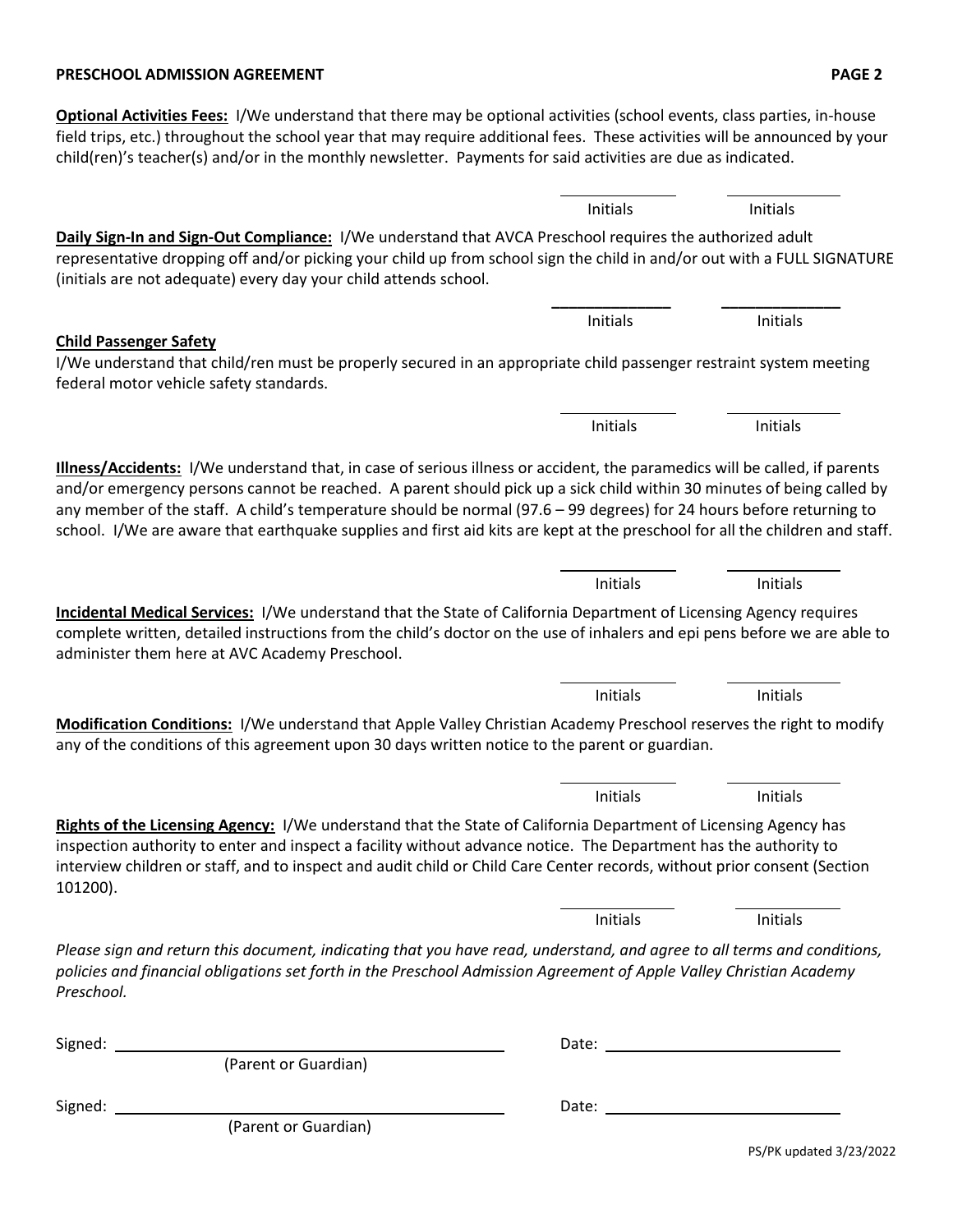#### **PRESCHOOL ADMISSION AGREEMENT PAGE 2**

**Optional Activities Fees:** I/We understand that there may be optional activities (school events, class parties, in-house field trips, etc.) throughout the school year that may require additional fees. These activities will be announced by your child(ren)'s teacher(s) and/or in the monthly newsletter. Payments for said activities are due as indicated. j.

**Daily Sign-In and Sign-Out Compliance:** I/We understand that AVCA Preschool requires the authorized adult representative dropping off and/or picking your child up from school sign the child in and/or out with a FULL SIGNATURE (initials are not adequate) every day your child attends school. **\_\_\_\_\_\_\_\_\_\_\_\_\_\_ \_\_\_\_\_\_\_\_\_\_\_\_\_\_**

#### **Child Passenger Safety**

I/We understand that child/ren must be properly secured in an appropriate child passenger restraint system meeting federal motor vehicle safety standards.

**Illness/Accidents:** I/We understand that, in case of serious illness or accident, the paramedics will be called, if parents and/or emergency persons cannot be reached. A parent should pick up a sick child within 30 minutes of being called by any member of the staff. A child's temperature should be normal (97.6 – 99 degrees) for 24 hours before returning to school. I/We are aware that earthquake supplies and first aid kits are kept at the preschool for all the children and staff.

**Incidental Medical Services:** I/We understand that the State of California Department of Licensing Agency requires complete written, detailed instructions from the child's doctor on the use of inhalers and epi pens before we are able to administer them here at AVC Academy Preschool.

**Modification Conditions:** I/We understand that Apple Valley Christian Academy Preschool reserves the right to modify any of the conditions of this agreement upon 30 days written notice to the parent or guardian.

**Rights of the Licensing Agency:** I/We understand that the State of California Department of Licensing Agency has inspection authority to enter and inspect a facility without advance notice. The Department has the authority to interview children or staff, and to inspect and audit child or Child Care Center records, without prior consent (Section 101200).

*Please sign and return this document, indicating that you have read, understand, and agree to all terms and conditions, policies and financial obligations set forth in the Preschool Admission Agreement of Apple Valley Christian Academy Preschool.* 

| Signed: |                      | Date: |  |
|---------|----------------------|-------|--|
|         | (Parent or Guardian) |       |  |
| Signed: |                      | Date: |  |
|         | (Parent or Guardian) |       |  |

j.

Initials Initials

Initials Initials

Initials Initials

l, Initials Initials

j. Initials Initials

Initials Initials

j.

Initials Initials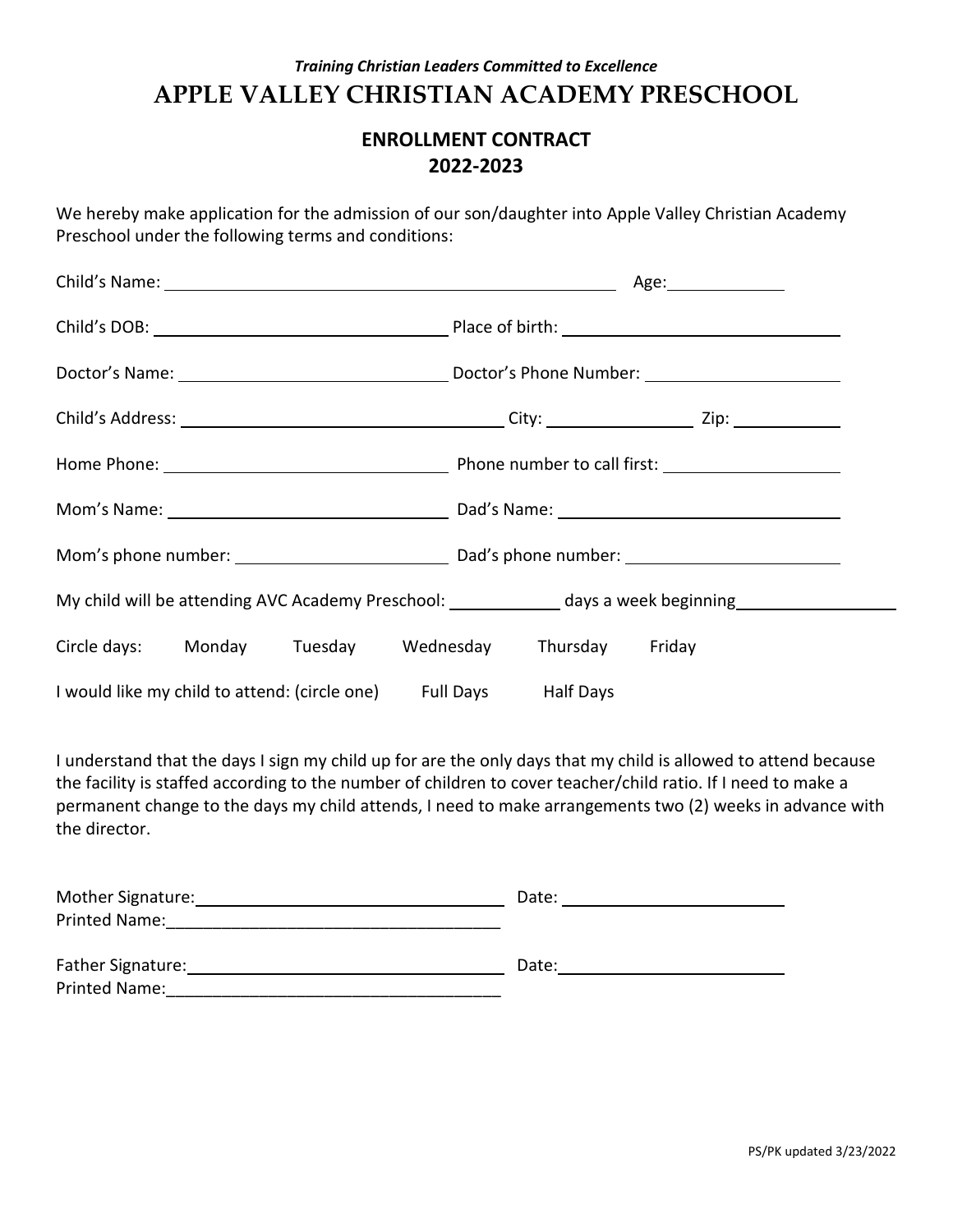### **ENROLLMENT CONTRACT 2022-2023**

We hereby make application for the admission of our son/daughter into Apple Valley Christian Academy Preschool under the following terms and conditions:

|                                                                                                     |  | Age:________________ |  |
|-----------------------------------------------------------------------------------------------------|--|----------------------|--|
|                                                                                                     |  |                      |  |
|                                                                                                     |  |                      |  |
|                                                                                                     |  |                      |  |
|                                                                                                     |  |                      |  |
|                                                                                                     |  |                      |  |
|                                                                                                     |  |                      |  |
| My child will be attending AVC Academy Preschool: _____________ days a week beginning______________ |  |                      |  |
| Circle days: Monday Tuesday Wednesday Thursday Friday                                               |  |                      |  |
| I would like my child to attend: (circle one) Full Days Half Days                                   |  |                      |  |

I understand that the days I sign my child up for are the only days that my child is allowed to attend because the facility is staffed according to the number of children to cover teacher/child ratio. If I need to make a permanent change to the days my child attends, I need to make arrangements two (2) weeks in advance with the director.

| Mother Signature:        | Date: |
|--------------------------|-------|
| Printed Name:            |       |
| <b>Father Signature:</b> | Date: |
| Printed Name:            |       |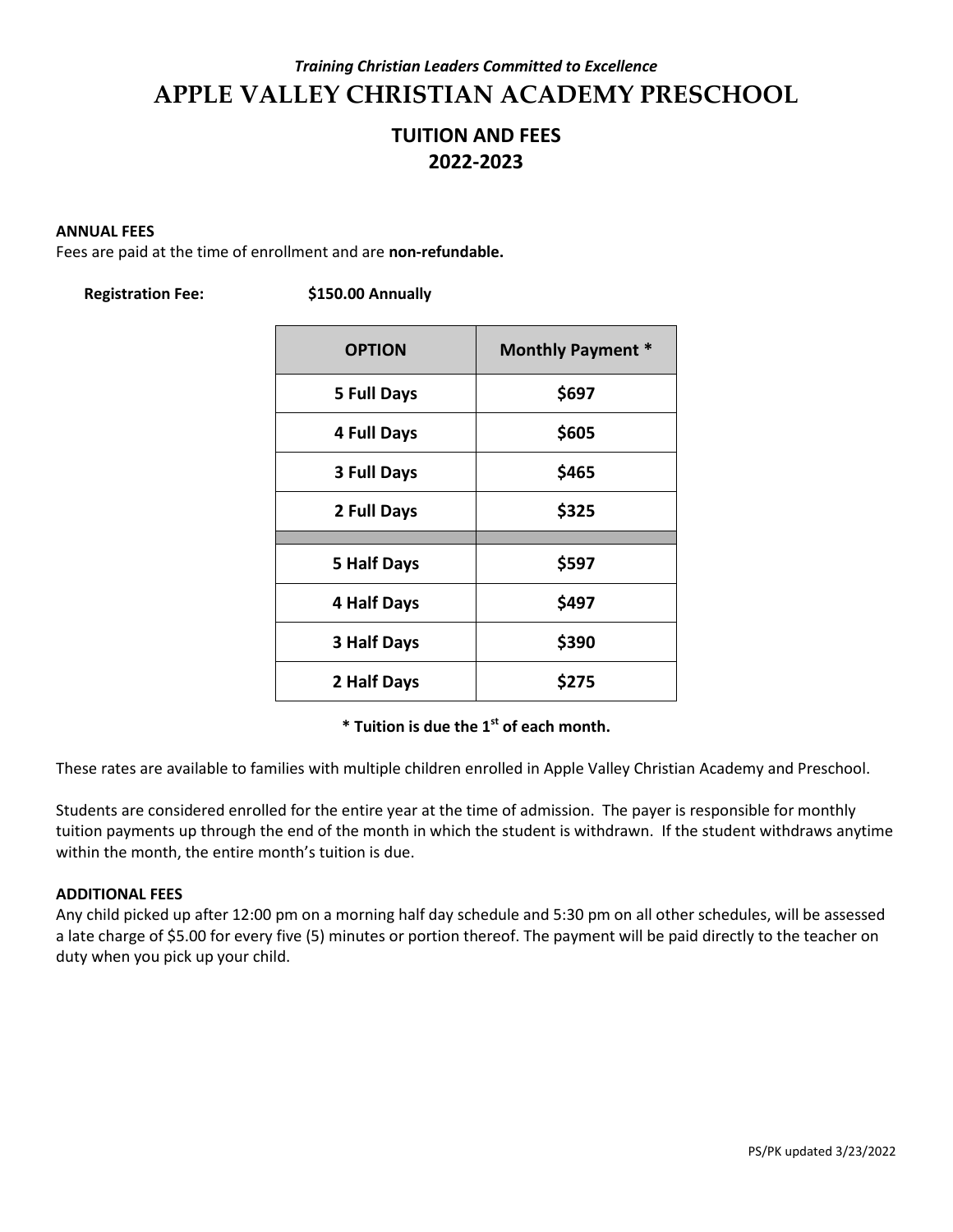### **TUITION AND FEES 2022-2023**

#### **ANNUAL FEES**

Fees are paid at the time of enrollment and are **non-refundable.**

| <b>Registration Fee:</b> |  |
|--------------------------|--|
|--------------------------|--|

**Registration Fee: \$150.00 Annually**

| <b>OPTION</b>      | <b>Monthly Payment *</b> |
|--------------------|--------------------------|
| <b>5 Full Days</b> | \$697                    |
| <b>4 Full Days</b> | \$605                    |
| <b>3 Full Days</b> | \$465                    |
| 2 Full Days        | \$325                    |
|                    |                          |
| 5 Half Days        | \$597                    |
| <b>4 Half Days</b> | \$497                    |
| <b>3 Half Days</b> | \$390                    |
| 2 Half Days        | \$275                    |

**\* Tuition is due the 1st of each month.**

These rates are available to families with multiple children enrolled in Apple Valley Christian Academy and Preschool.

Students are considered enrolled for the entire year at the time of admission. The payer is responsible for monthly tuition payments up through the end of the month in which the student is withdrawn. If the student withdraws anytime within the month, the entire month's tuition is due.

#### **ADDITIONAL FEES**

Any child picked up after 12:00 pm on a morning half day schedule and 5:30 pm on all other schedules, will be assessed a late charge of \$5.00 for every five (5) minutes or portion thereof. The payment will be paid directly to the teacher on duty when you pick up your child.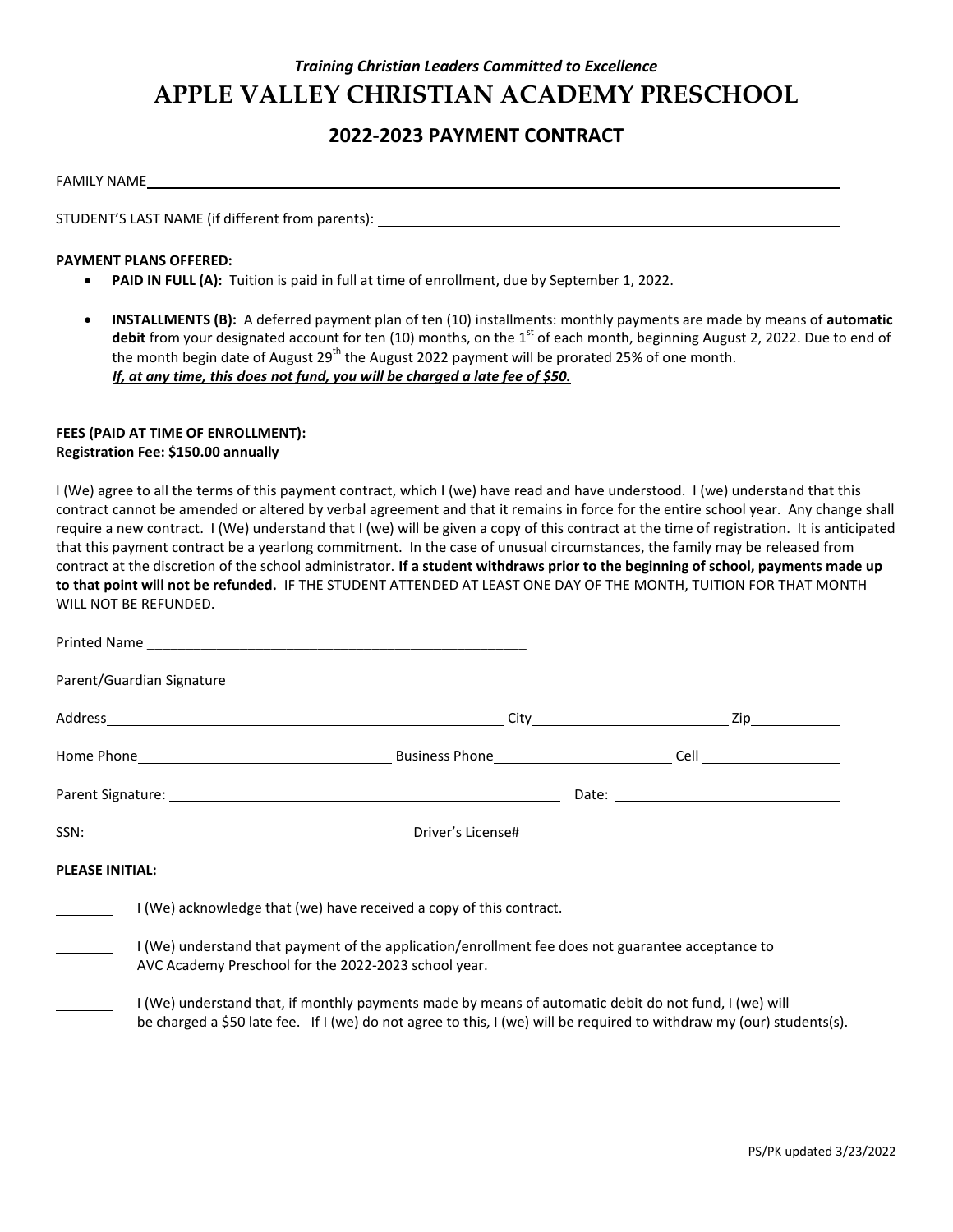### **2022-2023 PAYMENT CONTRACT**

STUDENT'S LAST NAME (if different from parents):

#### **PAYMENT PLANS OFFERED:**

- **PAID IN FULL (A):** Tuition is paid in full at time of enrollment, due by September 1, 2022.
- **INSTALLMENTS (B):** A deferred payment plan of ten (10) installments: monthly payments are made by means of **automatic debit** from your designated account for ten (10) months, on the 1<sup>st</sup> of each month, beginning August 2, 2022. Due to end of the month begin date of August 29<sup>th</sup> the August 2022 payment will be prorated 25% of one month. *If, at any time, this does not fund, you will be charged a late fee of \$50.*

#### **FEES (PAID AT TIME OF ENROLLMENT): Registration Fee: \$150.00 annually**

I (We) agree to all the terms of this payment contract, which I (we) have read and have understood. I (we) understand that this contract cannot be amended or altered by verbal agreement and that it remains in force for the entire school year. Any change shall require a new contract. I (We) understand that I (we) will be given a copy of this contract at the time of registration. It is anticipated that this payment contract be a yearlong commitment. In the case of unusual circumstances, the family may be released from contract at the discretion of the school administrator. **If a student withdraws prior to the beginning of school, payments made up to that point will not be refunded.**IF THE STUDENT ATTENDED AT LEAST ONE DAY OF THE MONTH, TUITION FOR THAT MONTH WILL NOT BE REFUNDED.

|                        |                                                                                                                                                           | SSN: Note and the Contract of Contract of Contract of Contract of Contract of Contract of Contract of Contract of Contract of Contract of Contract of Contract of Contract of Contract of Contract of Contract of Contract of  |  |
|------------------------|-----------------------------------------------------------------------------------------------------------------------------------------------------------|--------------------------------------------------------------------------------------------------------------------------------------------------------------------------------------------------------------------------------|--|
| <b>PLEASE INITIAL:</b> |                                                                                                                                                           |                                                                                                                                                                                                                                |  |
|                        | I (We) acknowledge that (we) have received a copy of this contract.                                                                                       |                                                                                                                                                                                                                                |  |
|                        | I (We) understand that payment of the application/enrollment fee does not guarantee acceptance to<br>AVC Academy Preschool for the 2022-2023 school year. |                                                                                                                                                                                                                                |  |
|                        |                                                                                                                                                           | I (We) understand that, if monthly payments made by means of automatic debit do not fund, I (we) will<br>be charged a \$50 late fee. If I (we) do not agree to this, I (we) will be required to withdraw my (our) students(s). |  |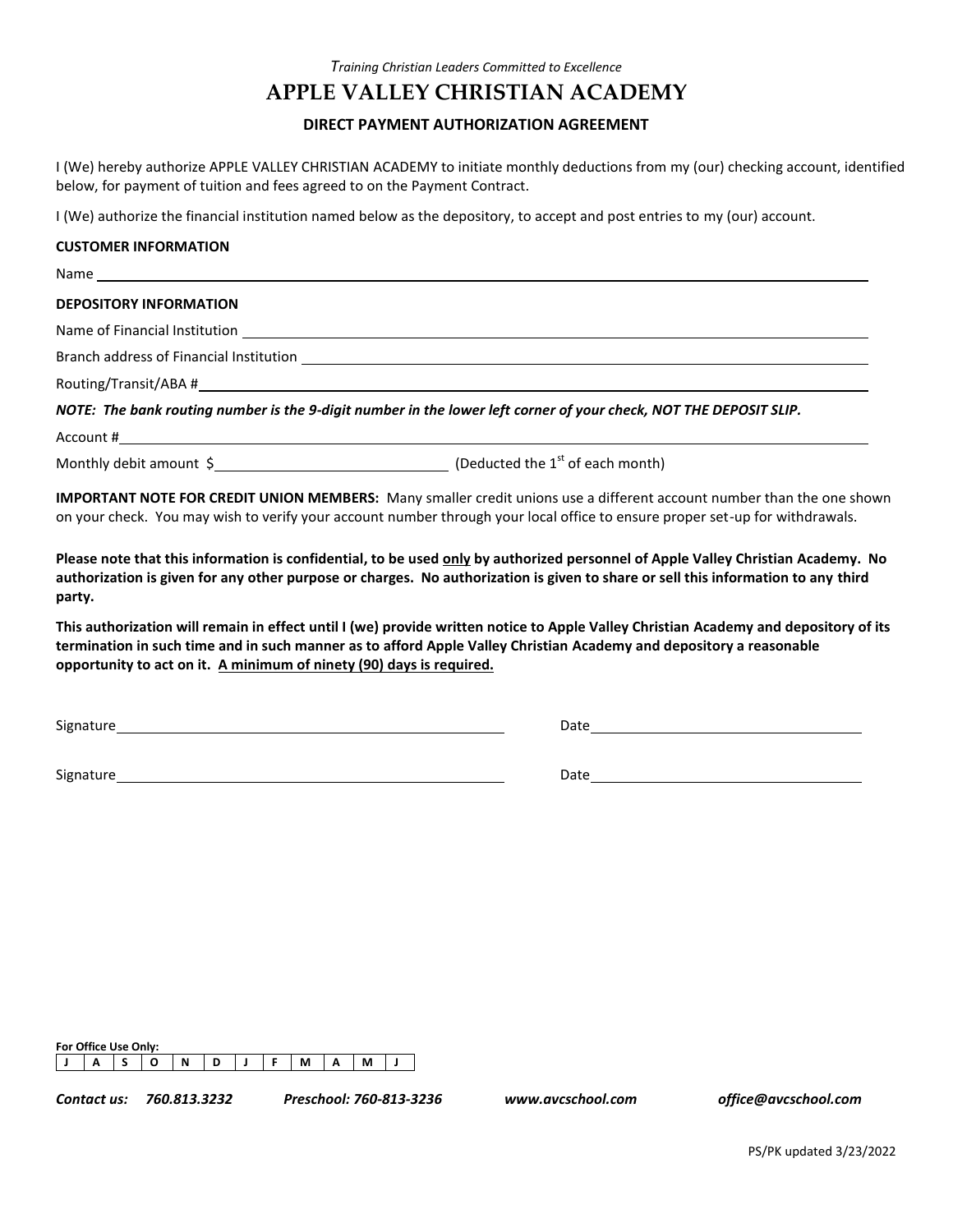### **APPLE VALLEY CHRISTIAN ACADEMY**

#### **DIRECT PAYMENT AUTHORIZATION AGREEMENT**

I (We) hereby authorize APPLE VALLEY CHRISTIAN ACADEMY to initiate monthly deductions from my (our) checking account, identified below, for payment of tuition and fees agreed to on the Payment Contract.

I (We) authorize the financial institution named below as the depository, to accept and post entries to my (our) account.

#### **CUSTOMER INFORMATION**

| <b>DEPOSITORY INFORMATION</b>                                                                                     |
|-------------------------------------------------------------------------------------------------------------------|
|                                                                                                                   |
|                                                                                                                   |
|                                                                                                                   |
| NOTE: The bank routing number is the 9-digit number in the lower left corner of your check, NOT THE DEPOSIT SLIP. |
| Account #                                                                                                         |

Monthly debit amount  $\zeta$  (Deducted the 1<sup>st</sup> of each month)

**IMPORTANT NOTE FOR CREDIT UNION MEMBERS:** Many smaller credit unions use a different account number than the one shown on your check. You may wish to verify your account number through your local office to ensure proper set-up for withdrawals.

**Please note that this information is confidential, to be used only by authorized personnel of Apple Valley Christian Academy. No authorization is given for any other purpose or charges. No authorization is given to share or sell this information to any third party.**

**This authorization will remain in effect until I (we) provide written notice to Apple Valley Christian Academy and depository of its termination in such time and in such manner as to afford Apple Valley Christian Academy and depository a reasonable opportunity to act on it. A minimum of ninety (90) days is required.**

Signature **Date Date of the Contract of Contract Contract of Contract Contract Contract Only in Date** Date **Date** 

Signature **Date Date Date Date Date Date Date Date Date Date Date Date Date Date Date Date Date Date Date Date Date Date Date Date Date Date Date Date Date Date D** 

| For Office Use Only: |  |   |  |     |                |   |  |
|----------------------|--|---|--|-----|----------------|---|--|
|                      |  | N |  | M . | $\blacksquare$ | М |  |

*Contact us: 760.813.3232 Preschool: 760-813-3236 www.avcschool.com office@avcschool.com*

PS/PK updated 3/23/2022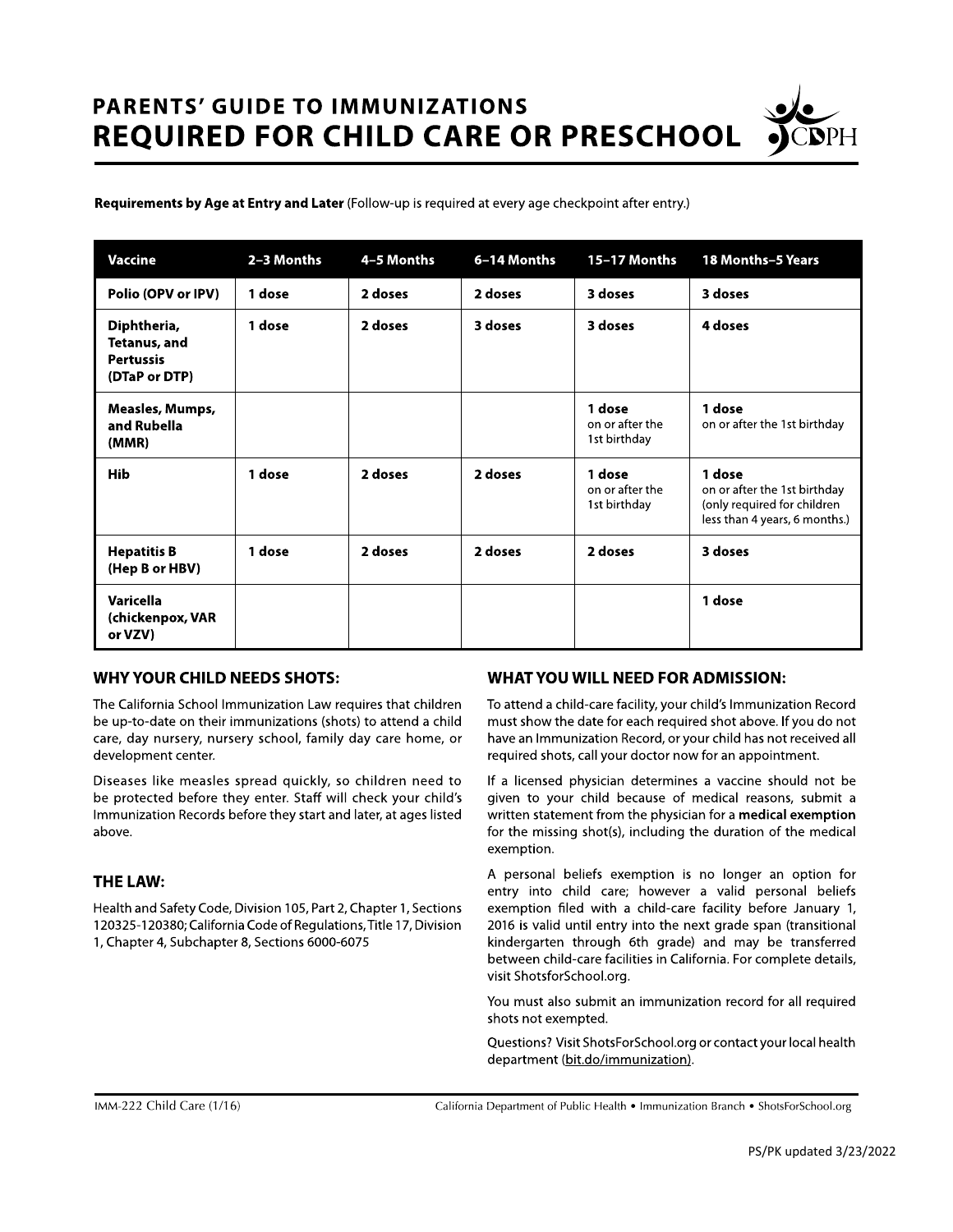# **PARENTS' GUIDE TO IMMUNIZATIONS REQUIRED FOR CHILD CARE OR PRESCHOOL**

Requirements by Age at Entry and Later (Follow-up is required at every age checkpoint after entry.)

| <b>Vaccine</b>                                                   | 2-3 Months | 4-5 Months | 6-14 Months | <b>15-17 Months</b>                       | <b>18 Months-5 Years</b>                                                                               |
|------------------------------------------------------------------|------------|------------|-------------|-------------------------------------------|--------------------------------------------------------------------------------------------------------|
| Polio (OPV or IPV)                                               | 1 dose     | 2 doses    | 2 doses     | 3 doses                                   | 3 doses                                                                                                |
| Diphtheria,<br>Tetanus, and<br><b>Pertussis</b><br>(DTaP or DTP) | 1 dose     | 2 doses    | 3 doses     | 3 doses                                   | 4 doses                                                                                                |
| Measles, Mumps,<br>and Rubella<br>(MMR)                          |            |            |             | 1 dose<br>on or after the<br>1st birthday | 1 dose<br>on or after the 1st birthday                                                                 |
| <b>Hib</b>                                                       | 1 dose     | 2 doses    | 2 doses     | 1 dose<br>on or after the<br>1st birthday | 1 dose<br>on or after the 1st birthday<br>(only required for children<br>less than 4 years, 6 months.) |
| <b>Hepatitis B</b><br>(Hep B or HBV)                             | 1 dose     | 2 doses    | 2 doses     | 2 doses                                   | 3 doses                                                                                                |
| Varicella<br>(chickenpox, VAR<br>or VZV)                         |            |            |             |                                           | 1 dose                                                                                                 |

#### **WHY YOUR CHILD NEEDS SHOTS:**

The California School Immunization Law requires that children be up-to-date on their immunizations (shots) to attend a child care, day nursery, nursery school, family day care home, or development center.

Diseases like measles spread quickly, so children need to be protected before they enter. Staff will check your child's Immunization Records before they start and later, at ages listed above.

#### **THE LAW:**

Health and Safety Code, Division 105, Part 2, Chapter 1, Sections 120325-120380; California Code of Regulations, Title 17, Division 1, Chapter 4, Subchapter 8, Sections 6000-6075

#### **WHAT YOU WILL NEED FOR ADMISSION:**

To attend a child-care facility, your child's Immunization Record must show the date for each required shot above. If you do not have an Immunization Record, or your child has not received all required shots, call your doctor now for an appointment.

If a licensed physician determines a vaccine should not be given to your child because of medical reasons, submit a written statement from the physician for a medical exemption for the missing shot(s), including the duration of the medical exemption.

A personal beliefs exemption is no longer an option for entry into child care; however a valid personal beliefs exemption filed with a child-care facility before January 1, 2016 is valid until entry into the next grade span (transitional kindergarten through 6th grade) and may be transferred between child-care facilities in California. For complete details, visit ShotsforSchool.org.

You must also submit an immunization record for all required shots not exempted.

Questions? Visit ShotsForSchool.org or contact your local health department (bit.do/immunization).

California Department of Public Health • Immunization Branch • ShotsForSchool.org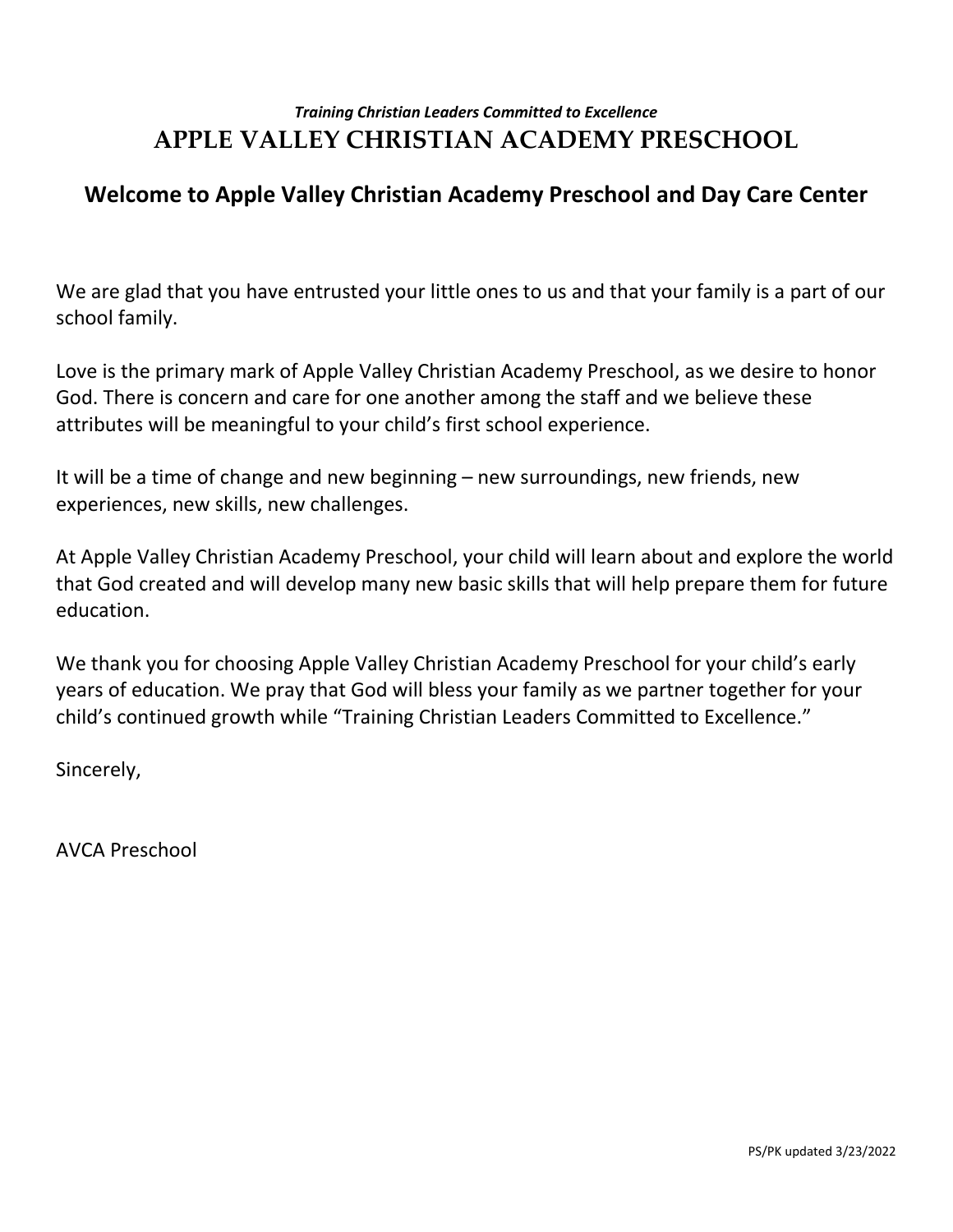# **Welcome to Apple Valley Christian Academy Preschool and Day Care Center**

We are glad that you have entrusted your little ones to us and that your family is a part of our school family.

Love is the primary mark of Apple Valley Christian Academy Preschool, as we desire to honor God. There is concern and care for one another among the staff and we believe these attributes will be meaningful to your child's first school experience.

It will be a time of change and new beginning – new surroundings, new friends, new experiences, new skills, new challenges.

At Apple Valley Christian Academy Preschool, your child will learn about and explore the world that God created and will develop many new basic skills that will help prepare them for future education.

We thank you for choosing Apple Valley Christian Academy Preschool for your child's early years of education. We pray that God will bless your family as we partner together for your child's continued growth while "Training Christian Leaders Committed to Excellence."

Sincerely,

AVCA Preschool